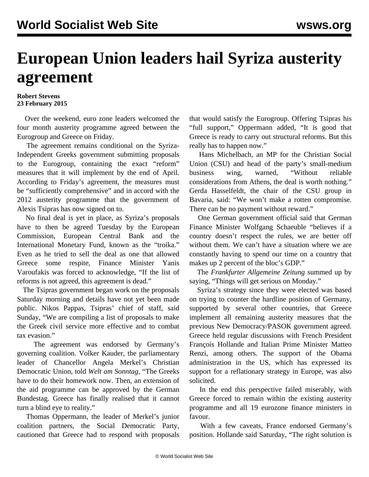## **European Union leaders hail Syriza austerity agreement**

## **Robert Stevens 23 February 2015**

 Over the weekend, euro zone leaders welcomed the four month austerity [programme](/en/articles/2015/02/21/gree-f21.html) agreed between the Eurogroup and Greece on Friday.

 The agreement remains conditional on the Syriza-Independent Greeks government submitting proposals to the Eurogroup, containing the exact "reform" measures that it will implement by the end of April. According to Friday's agreement, the measures must be "sufficiently comprehensive" and in accord with the 2012 austerity programme that the government of Alexis Tsipras has now signed on to.

 No final deal is yet in place, as Syriza's proposals have to then be agreed Tuesday by the European Commission, European Central Bank and the International Monetary Fund, known as the "troika." Even as he tried to sell the deal as one that allowed Greece some respite, Finance Minister Yanis Varoufakis was forced to acknowledge, "If the list of reforms is not agreed, this agreement is dead."

 The Tsipras government began work on the proposals Saturday morning and details have not yet been made public. Nikos Pappas, Tsipras' chief of staff, said Sunday, "We are compiling a list of proposals to make the Greek civil service more effective and to combat tax evasion."

 The agreement was endorsed by Germany's governing coalition. Volker Kauder, the parliamentary leader of Chancellor Angela Merkel's Christian Democratic Union, told *Welt am Sonntag*, "The Greeks have to do their homework now. Then, an extension of the aid programme can be approved by the German Bundestag. Greece has finally realised that it cannot turn a blind eye to reality."

 Thomas Oppermann, the leader of Merkel's junior coalition partners, the Social Democratic Party, cautioned that Greece had to respond with proposals that would satisfy the Eurogroup. Offering Tsipras his "full support," Oppermann added, "It is good that Greece is ready to carry out structural reforms. But this really has to happen now."

 Hans Michelbach, an MP for the Christian Social Union (CSU) and head of the party's small-medium business wing, warned, "Without reliable considerations from Athens, the deal is worth nothing." Gerda Hasselfeldt, the chair of the CSU group in Bavaria, said: "We won't make a rotten compromise. There can be no payment without reward."

 One German government official said that German Finance Minister Wolfgang Schaeuble "believes if a country doesn't respect the rules, we are better off without them. We can't have a situation where we are constantly having to spend our time on a country that makes up 2 percent of the bloc's GDP."

 The *Frankfurter Allgemeine Zeitung* summed up by saying, "Things will get serious on Monday."

 Syriza's strategy since they were elected was based on trying to counter the hardline position of Germany, supported by several other countries, that Greece implement all remaining austerity measures that the previous New Democracy/PASOK government agreed. Greece held regular discussions with French President François Hollande and Italian Prime Minister Matteo Renzi, among others. The support of the Obama administration in the US, which has expressed its support for a reflationary strategy in Europe, was also solicited.

 In the end this perspective failed miserably, with Greece forced to remain within the existing austerity programme and all 19 eurozone finance ministers in favour.

 With a few caveats, France endorsed Germany's position. Hollande said Saturday, "The right solution is